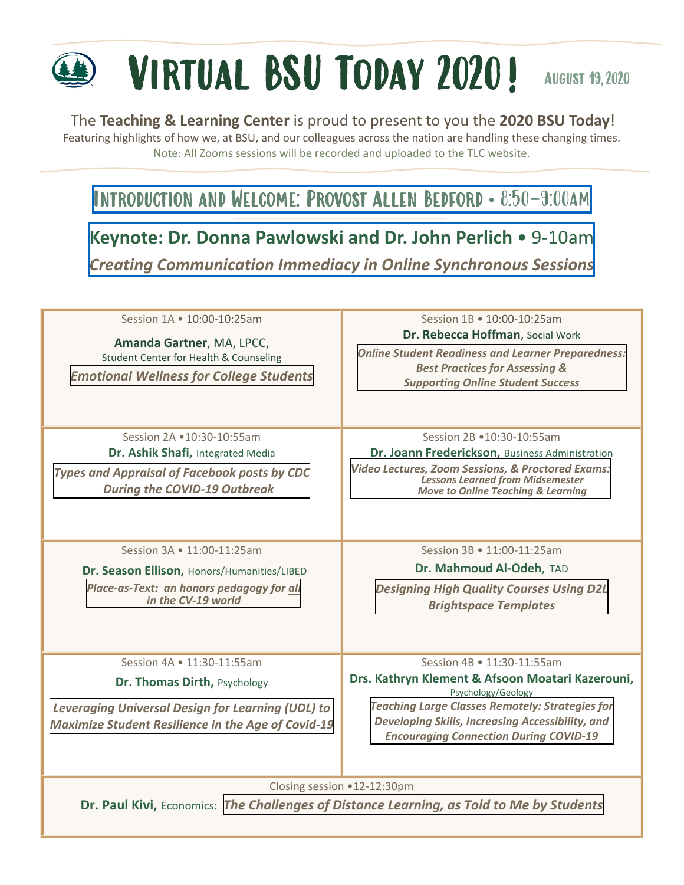# Virtual BSU Today 2020! August 19,2020

### The **Teaching & Learning Center** is proud to present to you the **2020 BSU Today**!

Featuring highlights of how we, at BSU, and our colleagues across the nation are handling these changing times. Note: All Zooms sessions will be recorded and uploaded to the TLC website.

## [Introduction and Welcome: Provost Allen Bedford • 8:50-9:00am](http://www.kaltura.com/tiny/in8xw)

# **[Keynote: Dr. Donna Pawlowski and Dr. John Perlich](http://www.kaltura.com/tiny/in8xw)** • 9-10am

*Creating Communication Immediacy in Online Synchronous Sessions*

| Session 1A • 10:00-10:25am<br>Amanda Gartner, MA, LPCC,<br>Student Center for Health & Counseling<br><b>Emotional Wellness for College Students</b>                                 | Session 1B • 10:00-10:25am<br>Dr. Rebecca Hoffman, Social Work<br><b>Online Student Readiness and Learner Preparedness:</b><br><b>Best Practices for Assessing &amp;</b><br><b>Supporting Online Student Success</b>                                                |
|-------------------------------------------------------------------------------------------------------------------------------------------------------------------------------------|---------------------------------------------------------------------------------------------------------------------------------------------------------------------------------------------------------------------------------------------------------------------|
| Session 2A .10:30-10:55am<br>Dr. Ashik Shafi, Integrated Media<br><b>Types and Appraisal of Facebook posts by CDC</b><br><b>During the COVID-19 Outbreak</b>                        | Session 2B •10:30-10:55am<br>Dr. Joann Frederickson, Business Administration<br><b>Video Lectures, Zoom Sessions, &amp; Proctored Exams:</b><br><b>Lessons Learned from Midsemester</b><br><b>Move to Online Teaching &amp; Learning</b>                            |
| Session 3A • 11:00-11:25am<br>Dr. Season Ellison, Honors/Humanities/LIBED<br>Place-as-Text: an honors pedagogy for all<br>in the CV-19 world                                        | Session 3B • 11:00-11:25am<br>Dr. Mahmoud Al-Odeh, TAD<br><b>Designing High Quality Courses Using D2L</b><br><b>Brightspace Templates</b>                                                                                                                           |
| Session 4A • 11:30-11:55am<br>Dr. Thomas Dirth, Psychology<br><b>Leveraging Universal Design for Learning (UDL) to</b><br><b>Maximize Student Resilience in the Age of Covid-19</b> | Session 4B • 11:30-11:55am<br>Drs. Kathryn Klement & Afsoon Moatari Kazerouni,<br>Psychology/Geology<br><b>Teaching Large Classes Remotely: Strategies for</b><br>Developing Skills, Increasing Accessibility, and<br><b>Encouraging Connection During COVID-19</b> |
| Closing session .12-12:30pm<br>Dr. Paul Kivi, Economics: The Challenges of Distance Learning, as Told to Me by Students                                                             |                                                                                                                                                                                                                                                                     |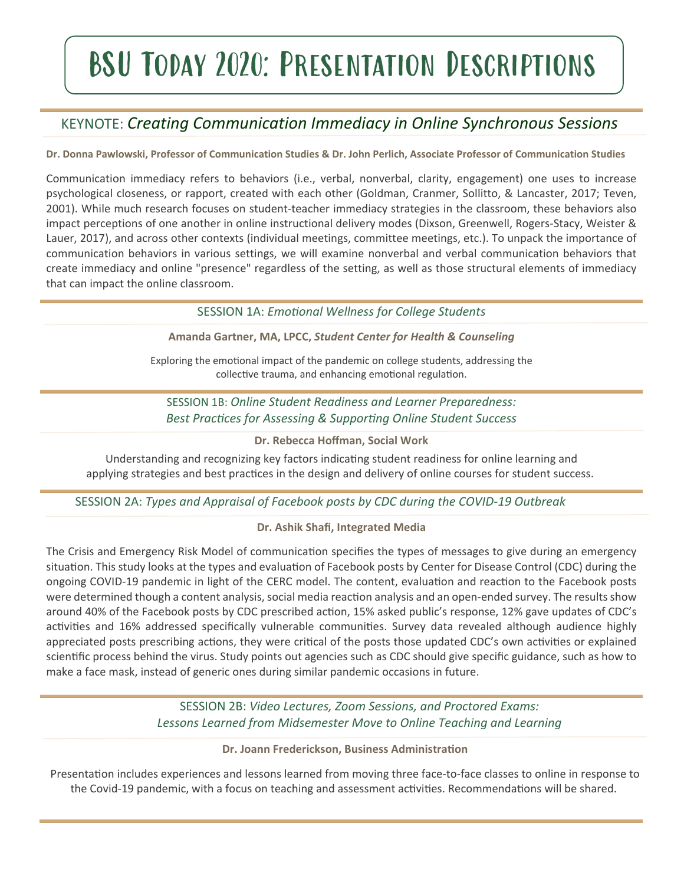# BSU Today 2020: Presentation Descriptions

## KEYNOTE: *Creating Communication Immediacy in Online Synchronous Sessions*

**Dr. Donna Pawlowski, Professor of Communication Studies & Dr. John Perlich, Associate Professor of Communication Studies**

Communication immediacy refers to behaviors (i.e., verbal, nonverbal, clarity, engagement) one uses to increase psychological closeness, or rapport, created with each other (Goldman, Cranmer, Sollitto, & Lancaster, 2017; Teven, 2001). While much research focuses on student-teacher immediacy strategies in the classroom, these behaviors also impact perceptions of one another in online instructional delivery modes (Dixson, Greenwell, Rogers-Stacy, Weister & Lauer, 2017), and across other contexts (individual meetings, committee meetings, etc.). To unpack the importance of communication behaviors in various settings, we will examine nonverbal and verbal communication behaviors that create immediacy and online "presence" regardless of the setting, as well as those structural elements of immediacy that can impact the online classroom.

SESSION 1A: *Emotional Wellness for College Students*

**Amanda Gartner, MA, LPCC,** *Student Center for Health & Counseling*

Exploring the emotional impact of the pandemic on college students, addressing the collective trauma, and enhancing emotional regulation.

SESSION 1B: *Online Student Readiness and Learner Preparedness: Best Practices for Assessing & Supporting Online Student Success*

**Dr. Rebecca Hoffman, Social Work**

Understanding and recognizing key factors indicating student readiness for online learning and applying strategies and best practices in the design and delivery of online courses for student success.

SESSION 2A: *Types and Appraisal of Facebook posts by CDC during the COVID-19 Outbreak*

#### **Dr. Ashik Shafi, Integrated Media**

The Crisis and Emergency Risk Model of communication specifies the types of messages to give during an emergency situation. This study looks at the types and evaluation of Facebook posts by Center for Disease Control (CDC) during the ongoing COVID-19 pandemic in light of the CERC model. The content, evaluation and reaction to the Facebook posts were determined though a content analysis, social media reaction analysis and an open-ended survey. The results show around 40% of the Facebook posts by CDC prescribed action, 15% asked public's response, 12% gave updates of CDC's activities and 16% addressed specifically vulnerable communities. Survey data revealed although audience highly appreciated posts prescribing actions, they were critical of the posts those updated CDC's own activities or explained scientific process behind the virus. Study points out agencies such as CDC should give specific guidance, such as how to make a face mask, instead of generic ones during similar pandemic occasions in future.

> SESSION 2B: *Video Lectures, Zoom Sessions, and Proctored Exams: Lessons Learned from Midsemester Move to Online Teaching and Learning*

#### **Dr. Joann Frederickson, Business Administration**

Presentation includes experiences and lessons learned from moving three face-to-face classes to online in response to the Covid-19 pandemic, with a focus on teaching and assessment activities. Recommendations will be shared.